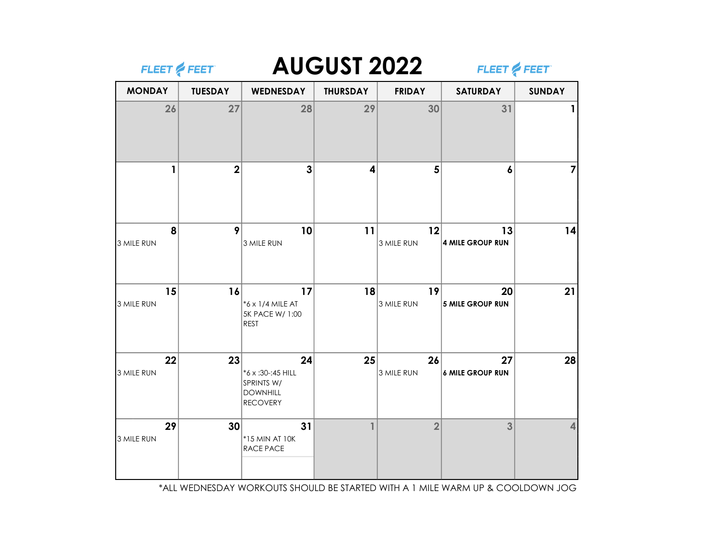| FLEET & FEET     |                         |                                                                             | <b>AUGUST 2022</b> |                  |                               | FLEET & FEET  |  |
|------------------|-------------------------|-----------------------------------------------------------------------------|--------------------|------------------|-------------------------------|---------------|--|
| <b>MONDAY</b>    | <b>TUESDAY</b>          | <b>WEDNESDAY</b>                                                            | <b>THURSDAY</b>    | <b>FRIDAY</b>    | <b>SATURDAY</b>               | <b>SUNDAY</b> |  |
| 26               | 27                      | 28                                                                          | 29                 | 30               | 31                            |               |  |
| 1                | $\overline{\mathbf{2}}$ | 3                                                                           | 4                  | 5                | 6                             | 7             |  |
| 8<br>3 MILE RUN  | 9                       | 10<br>3 MILE RUN                                                            | 11                 | 12<br>3 MILE RUN | 13<br>4 MILE GROUP RUN        | 14            |  |
| 15<br>3 MILE RUN | 16                      | 17<br>*6 x 1/4 MILE AT<br>5K PACE W/ 1:00<br>REST                           | 18                 | 19<br>3 MILE RUN | 20<br>5 MILE GROUP RUN        | 21            |  |
| 22<br>3 MILE RUN | 23                      | 24<br>*6 x :30-:45 HILL<br>SPRINTS W/<br><b>DOWNHILL</b><br><b>RECOVERY</b> | 25                 | 26<br>3 MILE RUN | 27<br><b>6 MILE GROUP RUN</b> | 28            |  |
| 29<br>3 MILE RUN | 30                      | 31<br>*15 MIN AT 10K<br><b>RACE PACE</b>                                    | $\mathbf{1}$       | $\overline{2}$   | 3                             | 4             |  |

\*ALL WEDNESDAY WORKOUTS SHOULD BE STARTED WITH A 1 MILE WARM UP & COOLDOWN JOG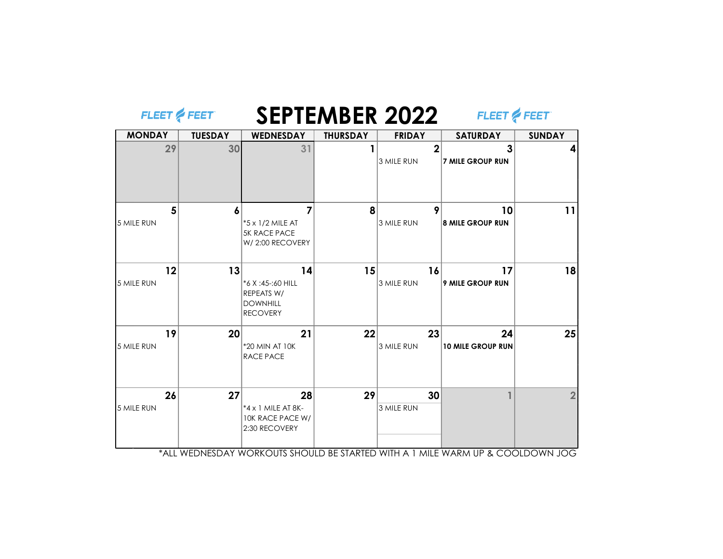| FLEET & FEET     |                |                                                                              |                 | <b>SEPTEMBER 2022</b>        | FLEET & FEET                   |               |
|------------------|----------------|------------------------------------------------------------------------------|-----------------|------------------------------|--------------------------------|---------------|
| <b>MONDAY</b>    | <b>TUESDAY</b> | <b>WEDNESDAY</b>                                                             | <b>THURSDAY</b> | <b>FRIDAY</b>                | <b>SATURDAY</b>                | <b>SUNDAY</b> |
| 29               | 30             | 31                                                                           |                 | $\overline{2}$<br>3 MILE RUN | 3<br><b>7 MILE GROUP RUN</b>   |               |
| 5<br>5 MILE RUN  | 6              | 7<br>*5 x 1/2 MILE AT<br><b>5K RACE PACE</b><br>W/2:00 RECOVERY              | 8               | 9<br>3 MILE RUN              | 10<br><b>8 MILE GROUP RUN</b>  | 11            |
| 12<br>5 MILE RUN | 13             | 14<br>*6 X:45 -: 60 HILL<br>REPEATS W/<br><b>DOWNHILL</b><br><b>RECOVERY</b> | 15              | 16<br>3 MILE RUN             | 17<br><b>9 MILE GROUP RUN</b>  | 18            |
| 19<br>5 MILE RUN | 20             | 21<br>*20 MIN AT 10K<br><b>RACE PACE</b>                                     | 22              | 23<br>3 MILE RUN             | 24<br><b>10 MILE GROUP RUN</b> | 25            |
| 26<br>5 MILE RUN | 27             | 28<br>*4 x 1 MILE AT 8K-<br>10K RACE PACE W/<br>2:30 RECOVERY                | 29              | 30<br>3 MILE RUN             |                                |               |

\*ALL WEDNESDAY WORKOUTS SHOULD BE STARTED WITH A 1 MILE WARM UP & COOLDOWN JOG